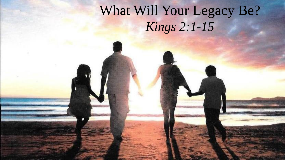### What Will Your Legacy Be? *Kings 2:1-15*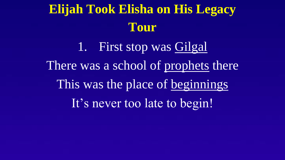1. First stop was Gilgal There was a school of prophets there This was the place of beginnings It's never too late to begin!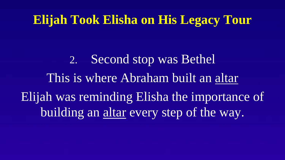2. Second stop was Bethel This is where Abraham built an altar Elijah was reminding Elisha the importance of building an altar every step of the way.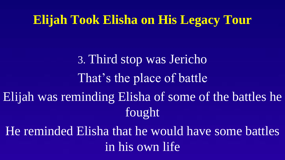3. Third stop was Jericho That's the place of battle Elijah was reminding Elisha of some of the battles he fought

He reminded Elisha that he would have some battles in his own life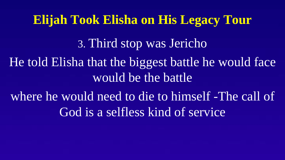**Elijah Took Elisha on His Legacy Tour** 3. Third stop was Jericho He told Elisha that the biggest battle he would face would be the battle where he would need to die to himself -The call of God is a selfless kind of service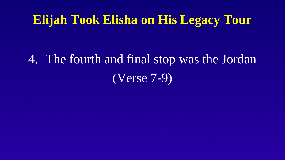# 4. The fourth and final stop was the Jordan (Verse 7-9)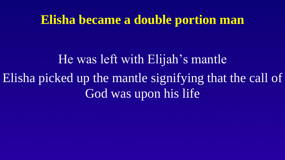#### **Elisha became a double portion man**

He was left with Elijah's mantle Elisha picked up the mantle signifying that the call of God was upon his life